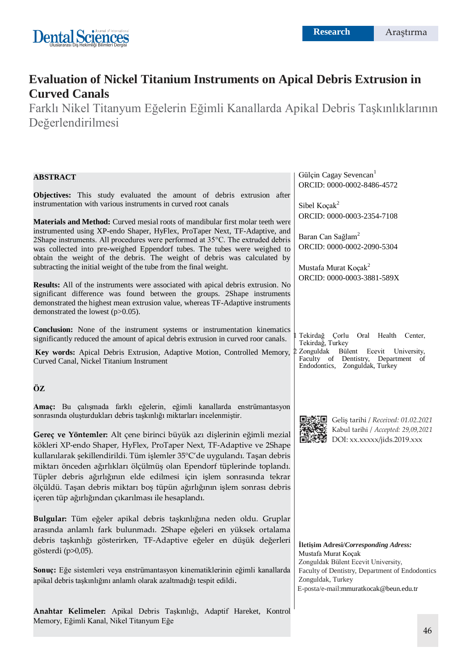

# **Evaluation of Nickel Titanium Instruments on Apical Debris Extrusion in Curved Canals**

Farklı Nikel Titanyum Eğelerin Eğimli Kanallarda Apikal Debris Taşkınlıklarının Değerlendirilmesi

| <b>ABSTRACT</b>                                                                                                                                                                                                                                                                                                                                                                                                                                                                                                                                                                                                                                                                                                                                                             | Gülçin Cagay Sevencan <sup>1</sup><br>ORCID: 0000-0002-8486-4572                                                                                                                                                      |
|-----------------------------------------------------------------------------------------------------------------------------------------------------------------------------------------------------------------------------------------------------------------------------------------------------------------------------------------------------------------------------------------------------------------------------------------------------------------------------------------------------------------------------------------------------------------------------------------------------------------------------------------------------------------------------------------------------------------------------------------------------------------------------|-----------------------------------------------------------------------------------------------------------------------------------------------------------------------------------------------------------------------|
| Objectives: This study evaluated the amount of debris extrusion after<br>instrumentation with various instruments in curved root canals                                                                                                                                                                                                                                                                                                                                                                                                                                                                                                                                                                                                                                     | Sibel Koçak <sup>2</sup>                                                                                                                                                                                              |
| Materials and Method: Curved mesial roots of mandibular first molar teeth were<br>instrumented using XP-endo Shaper, HyFlex, ProTaper Next, TF-Adaptive, and<br>2Shape instruments. All procedures were performed at 35°C. The extruded debris<br>was collected into pre-weighed Eppendorf tubes. The tubes were weighed to<br>obtain the weight of the debris. The weight of debris was calculated by<br>subtracting the initial weight of the tube from the final weight.<br><b>Results:</b> All of the instruments were associated with apical debris extrusion. No<br>significant difference was found between the groups. 2Shape instruments<br>demonstrated the highest mean extrusion value, whereas TF-Adaptive instruments<br>demonstrated the lowest $(p>0.05)$ . | ORCID: 0000-0003-2354-7108<br>Baran Can Sağlam <sup>2</sup><br>ORCID: 0000-0002-2090-5304<br>Mustafa Murat Koçak <sup>2</sup><br>ORCID: 0000-0003-3881-589X                                                           |
| Conclusion: None of the instrument systems or instrumentation kinematics<br>significantly reduced the amount of apical debris extrusion in curved roor canals.<br>Key words: Apical Debris Extrusion, Adaptive Motion, Controlled Memory,<br>Curved Canal, Nickel Titanium Instrument                                                                                                                                                                                                                                                                                                                                                                                                                                                                                       | Tekirdağ Çorlu Oral Health Center,<br>Tekirdağ, Turkey<br>2 Zonguldak<br>Bülent Ecevit University,<br>Faculty of Dentistry, Department of<br>Endodontics, Zonguldak, Turkey                                           |
| ÖZ                                                                                                                                                                                                                                                                                                                                                                                                                                                                                                                                                                                                                                                                                                                                                                          |                                                                                                                                                                                                                       |
| Amaç: Bu çalışmada farklı eğelerin, eğimli kanallarda enstrümantasyon<br>sonrasında oluşturdukları debris taşkınlığı miktarları incelenmiştir.<br>Gereç ve Yöntemler: Alt çene birinci büyük azı dişlerinin eğimli mezial<br>kökleri XP-endo Shaper, HyFlex, ProTaper Next, TF-Adaptive ve 2Shape<br>kullanılarak şekillendirildi. Tüm işlemler 35°C'de uygulandı. Taşan debris<br>miktarı önceden ağırlıkları ölçülmüş olan Ependorf tüplerinde toplandı.<br>Tüpler debris ağırlığının elde edilmesi için işlem sonrasında tekrar<br>ölçüldü. Taşan debris miktarı boş tüpün ağırlığının işlem sonrası debris<br>içeren tüp ağırlığından çıkarılması ile hesaplandı.                                                                                                       | Geliş tarihi / Received: 01.02.2021<br>Kabul tarihi / Accepted: 29,09,2021<br>DOI: xx.xxxxx/jids.2019.xxx                                                                                                             |
| Bulgular: Tüm eğeler apikal debris taşkınlığına neden oldu. Gruplar<br>arasında anlamlı fark bulunmadı. 2Shape eğeleri en yüksek ortalama<br>debris taşkınlığı gösterirken, TF-Adaptive eğeler en düşük değerleri<br>gösterdi (p>0,05).<br>Sonuç: Eğe sistemleri veya enstrümantasyon kinematiklerinin eğimli kanallarda<br>apikal debris taşkınlığını anlamlı olarak azaltmadığı tespit edildi.                                                                                                                                                                                                                                                                                                                                                                            | İletişim Adresi/Corresponding Adress:<br>Mustafa Murat Koçak<br>Zonguldak Bülent Ecevit University,<br>Faculty of Dentistry, Department of Endodontics<br>Zonguldak, Turkey<br>E-posta/e-mail:mmuratkocak@beun.edu.tr |

**Anahtar Kelimeler:** Apikal Debris Taşkınlığı, Adaptif Hareket, Kontrol

Memory, Eğimli Kanal, Nikel Titanyum Eğe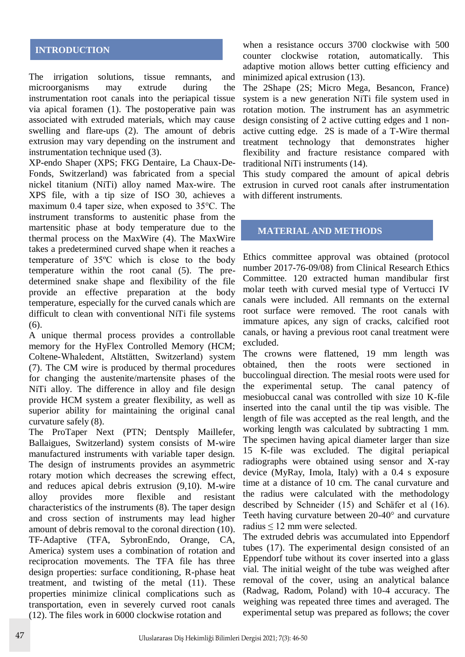# **INTRODUCTION**

The irrigation solutions, tissue remnants, and microorganisms may extrude during the instrumentation root canals into the periapical tissue via apical foramen (1). The postoperative pain was associated with extruded materials, which may cause swelling and flare-ups (2). The amount of debris extrusion may vary depending on the instrument and instrumentation technique used (3).

XP-endo Shaper (XPS; FKG Dentaire, La Chaux-De-Fonds, Switzerland) was fabricated from a special nickel titanium (NiTi) alloy named Max-wire. The XPS file, with a tip size of ISO 30, achieves a maximum 0.4 taper size, when exposed to 35°C. The instrument transforms to austenitic phase from the martensitic phase at body temperature due to the thermal process on the MaxWire (4). The MaxWire takes a predetermined curved shape when it reaches a temperature of 35ºC which is close to the body temperature within the root canal (5). The predetermined snake shape and flexibility of the file provide an effective preparation at the body temperature, especially for the curved canals which are difficult to clean with conventional NiTi file systems  $(6)$ .

A unique thermal process provides a controllable memory for the HyFlex Controlled Memory (HCM; Coltene-Whaledent, Altstätten, Switzerland) system (7). The CM wire is produced by thermal procedures for changing the austenite/martensite phases of the NiTi alloy. The difference in alloy and file design provide HCM system a greater flexibility, as well as superior ability for maintaining the original canal curvature safely (8).

The ProTaper Next (PTN; Dentsply Maillefer, Ballaigues, Switzerland) system consists of M-wire manufactured instruments with variable taper design. The design of instruments provides an asymmetric rotary motion which decreases the screwing effect, and reduces apical debris extrusion (9,10). M-wire alloy provides more flexible and resistant characteristics of the instruments (8). The taper design and cross section of instruments may lead higher amount of debris removal to the coronal direction (10). TF-Adaptive (TFA, SybronEndo, Orange, CA, America) system uses a combination of rotation and reciprocation movements. The TFA file has three design properties: surface conditioning, R-phase heat treatment, and twisting of the metal (11). These properties minimize clinical complications such as transportation, even in severely curved root canals (12). The files work in 6000 clockwise rotation and

when a resistance occurs 3700 clockwise with 500 counter clockwise rotation, automatically. This adaptive motion allows better cutting efficiency and minimized apical extrusion (13).

The 2Shape (2S; Micro Mega, Besancon, France) system is a new generation NiTi file system used in rotation motion. The instrument has an asymmetric design consisting of 2 active cutting edges and 1 nonactive cutting edge. 2S is made of a T-Wire thermal treatment technology that demonstrates higher flexibility and fracture resistance compared with traditional NiTi instruments (14).

This study compared the amount of apical debris extrusion in curved root canals after instrumentation with different instruments.

### **MATERIAL AND METHODS**

Ethics committee approval was obtained (protocol number 2017-76-09/08) from Clinical Research Ethics Committee. 120 extracted human mandibular first molar teeth with curved mesial type of Vertucci IV canals were included. All remnants on the external root surface were removed. The root canals with immature apices, any sign of cracks, calcified root canals, or having a previous root canal treatment were excluded.

The crowns were flattened, 19 mm length was obtained, then the roots were sectioned in buccolingual direction. The mesial roots were used for the experimental setup. The canal patency of mesiobuccal canal was controlled with size 10 K-file inserted into the canal until the tip was visible. The length of file was accepted as the real length, and the working length was calculated by subtracting 1 mm. The specimen having apical diameter larger than size 15 K-file was excluded. The digital periapical radiographs were obtained using sensor and X-ray device (MyRay, Imola, Italy) with a 0.4 s exposure time at a distance of 10 cm. The canal curvature and the radius were calculated with the methodology described by Schneider (15) and Schäfer et al (16). Teeth having curvature between 20-40° and curvature radius ≤ 12 mm were selected.

The extruded debris was accumulated into Eppendorf tubes (17). The experimental design consisted of an Eppendorf tube without its cover inserted into a glass vial. The initial weight of the tube was weighed after removal of the cover, using an analytical balance (Radwag, Radom, Poland) with 10-4 accuracy. The weighing was repeated three times and averaged. The experimental setup was prepared as follows; the cover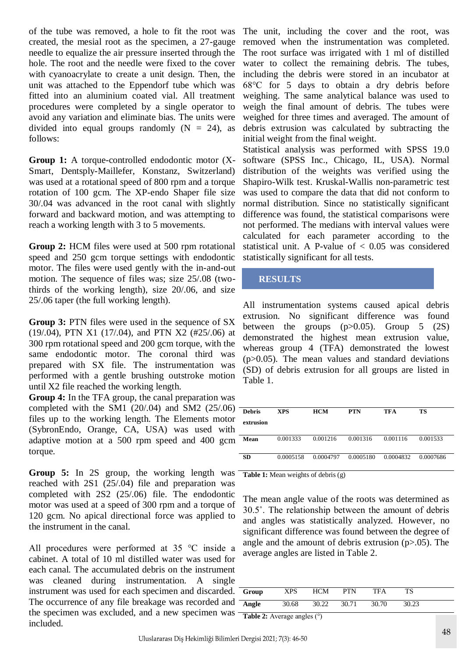of the tube was removed, a hole to fit the root was created, the mesial root as the specimen, a 27-gauge needle to equalize the air pressure inserted through the hole. The root and the needle were fixed to the cover with cyanoacrylate to create a unit design. Then, the unit was attached to the Eppendorf tube which was fitted into an aluminium coated vial. All treatment procedures were completed by a single operator to avoid any variation and eliminate bias. The units were divided into equal groups randomly  $(N = 24)$ , as follows:

**Group 1:** A torque-controlled endodontic motor (X-Smart, Dentsply-Maillefer, Konstanz, Switzerland) was used at a rotational speed of 800 rpm and a torque rotation of 100 gcm. The XP-endo Shaper file size 30/.04 was advanced in the root canal with slightly forward and backward motion, and was attempting to reach a working length with 3 to 5 movements.

**Group 2:** HCM files were used at 500 rpm rotational speed and 250 gcm torque settings with endodontic motor. The files were used gently with the in-and-out motion. The sequence of files was; size 25/.08 (twothirds of the working length), size 20/.06, and size 25/.06 taper (the full working length).

**Group 3:** PTN files were used in the sequence of SX (19/.04), PTN X1 (17/.04), and PTN X2 (#25/.06) at 300 rpm rotational speed and 200 gcm torque, with the same endodontic motor. The coronal third was prepared with SX file. The instrumentation was performed with a gentle brushing outstroke motion until X2 file reached the working length.

**Group 4:** In the TFA group, the canal preparation was completed with the SM1  $(20/0.04)$  and SM2  $(25/0.06)$  files up to the working length. The Elements motor (SybronEndo, Orange, CA, USA) was used with adaptive motion at a 500 rpm speed and 400 gcm torque.

**Group 5:** In 2S group, the working length was reached with 2S1 (25/.04) file and preparation was completed with 2S2 (25/.06) file. The endodontic motor was used at a speed of 300 rpm and a torque of 120 gcm. No apical directional force was applied to the instrument in the canal.

All procedures were performed at 35 °C inside a cabinet. A total of 10 ml distilled water was used for each canal. The accumulated debris on the instrument was cleaned during instrumentation. A single instrument was used for each specimen and discarded. The occurrence of any file breakage was recorded and the specimen was excluded, and a new specimen was included.

The unit, including the cover and the root, was removed when the instrumentation was completed. The root surface was irrigated with 1 ml of distilled water to collect the remaining debris. The tubes, including the debris were stored in an incubator at 68°C for 5 days to obtain a dry debris before weighing. The same analytical balance was used to weigh the final amount of debris. The tubes were weighed for three times and averaged. The amount of debris extrusion was calculated by subtracting the initial weight from the final weight.

Statistical analysis was performed with SPSS 19.0 software (SPSS Inc., Chicago, IL, USA). Normal distribution of the weights was verified using the Shapiro-Wilk test. Kruskal-Wallis non-parametric test was used to compare the data that did not conform to normal distribution. Since no statistically significant difference was found, the statistical comparisons were not performed. The medians with interval values were calculated for each parameter according to the statistical unit. A P-value of < 0.05 was considered statistically significant for all tests.

## **RESULTS**

All instrumentation systems caused apical debris extrusion. No significant difference was found between the groups  $(p>0.05)$ . Group 5  $(2S)$ demonstrated the highest mean extrusion value, whereas group 4 (TFA) demonstrated the lowest  $(p>0.05)$ . The mean values and standard deviations (SD) of debris extrusion for all groups are listed in Table 1.

| <b>Debris</b><br>extrusion | <b>XPS</b> | <b>HCM</b> | <b>PTN</b> | <b>TFA</b> | TS        |
|----------------------------|------------|------------|------------|------------|-----------|
| Mean                       | 0.001333   | 0.001216   | 0.001316   | 0.001116   | 0.001533  |
| <b>SD</b>                  | 0.0005158  | 0.0004797  | 0.0005180  | 0.0004832  | 0.0007686 |

**Table 1:** Mean weights of debris (g)

The mean angle value of the roots was determined as 30.5˚. The relationship between the amount of debris and angles was statistically analyzed. However, no significant difference was found between the degree of angle and the amount of debris extrusion  $(p>0.05)$ . The average angles are listed in Table 2.

| Group | <b>XPS</b>               | <b>HCM</b> | <b>PTN</b> | <b>TFA</b> | TS    |  |
|-------|--------------------------|------------|------------|------------|-------|--|
| Angle | 30.68                    | 30.22      | 30.71      | 30.70      | 30.23 |  |
|       | $T = 1, 1, 2, 4, $ 1 (0) |            |            |            |       |  |

**Table 2:** Average angles (°)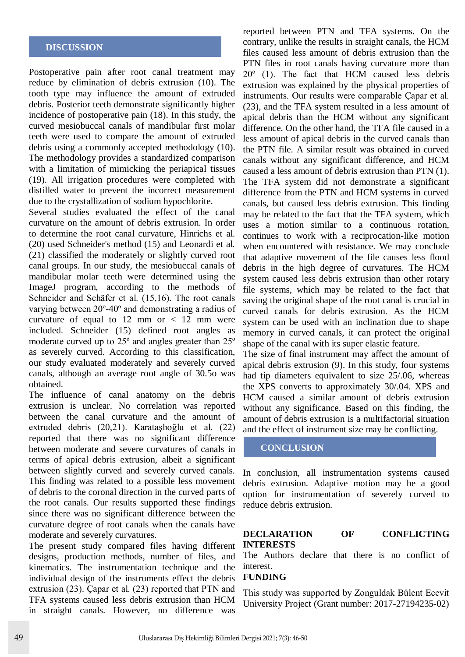#### **DISCUSSION**

Postoperative pain after root canal treatment may reduce by elimination of debris extrusion (10). The tooth type may influence the amount of extruded debris. Posterior teeth demonstrate significantly higher incidence of postoperative pain (18). In this study, the curved mesiobuccal canals of mandibular first molar teeth were used to compare the amount of extruded debris using a commonly accepted methodology (10). The methodology provides a standardized comparison with a limitation of mimicking the periapical tissues (19). All irrigation procedures were completed with distilled water to prevent the incorrect measurement due to the crystallization of sodium hypochlorite.

Several studies evaluated the effect of the canal curvature on the amount of debris extrusion. In order to determine the root canal curvature, Hinrichs et al. (20) used Schneider's method (15) and Leonardi et al. (21) classified the moderately or slightly curved root canal groups. In our study, the mesiobuccal canals of mandibular molar teeth were determined using the ImageJ program, according to the methods of Schneider and Schäfer et al. (15,16). The root canals varying between 20º-40º and demonstrating a radius of curvature of equal to  $12 \text{ mm}$  or  $< 12 \text{ mm}$  were included. Schneider (15) defined root angles as moderate curved up to 25º and angles greater than 25º as severely curved. According to this classification, our study evaluated moderately and severely curved canals, although an average root angle of 30.5o was obtained.

The influence of canal anatomy on the debris extrusion is unclear. No correlation was reported between the canal curvature and the amount of extruded debris (20,21). Karataşlıoğlu et al. (22) reported that there was no significant difference between moderate and severe curvatures of canals in terms of apical debris extrusion, albeit a significant between slightly curved and severely curved canals. This finding was related to a possible less movement of debris to the coronal direction in the curved parts of the root canals. Our results supported these findings since there was no significant difference between the curvature degree of root canals when the canals have moderate and severely curvatures.

The present study compared files having different designs, production methods, number of files, and kinematics. The instrumentation technique and the individual design of the instruments effect the debris extrusion (23). Çapar et al. (23) reported that PTN and TFA systems caused less debris extrusion than HCM in straight canals. However, no difference was

reported between PTN and TFA systems. On the contrary, unlike the results in straight canals, the HCM files caused less amount of debris extrusion than the PTN files in root canals having curvature more than 20º (1). The fact that HCM caused less debris extrusion was explained by the physical properties of instruments. Our results were comparable Çapar et al. (23), and the TFA system resulted in a less amount of apical debris than the HCM without any significant difference. On the other hand, the TFA file caused in a less amount of apical debris in the curved canals than the PTN file. A similar result was obtained in curved canals without any significant difference, and HCM caused a less amount of debris extrusion than PTN (1). The TFA system did not demonstrate a significant difference from the PTN and HCM systems in curved canals, but caused less debris extrusion. This finding may be related to the fact that the TFA system, which uses a motion similar to a continuous rotation, continues to work with a reciprocation-like motion when encountered with resistance. We may conclude that adaptive movement of the file causes less flood debris in the high degree of curvatures. The HCM system caused less debris extrusion than other rotary file systems, which may be related to the fact that saving the original shape of the root canal is crucial in curved canals for debris extrusion. As the HCM system can be used with an inclination due to shape memory in curved canals, it can protect the original shape of the canal with its super elastic feature.

The size of final instrument may affect the amount of apical debris extrusion (9). In this study, four systems had tip diameters equivalent to size 25/.06, whereas the XPS converts to approximately 30/.04. XPS and HCM caused a similar amount of debris extrusion without any significance. Based on this finding, the amount of debris extrusion is a multifactorial situation and the effect of instrument size may be conflicting.

## **CONCLUSION**

In conclusion, all instrumentation systems caused debris extrusion. Adaptive motion may be a good option for instrumentation of severely curved to reduce debris extrusion.

#### **DECLARATION OF CONFLICTING INTERESTS**

The Authors declare that there is no conflict of interest.

#### **FUNDING**

This study was supported by Zonguldak Bülent Ecevit University Project (Grant number: 2017-27194235-02)